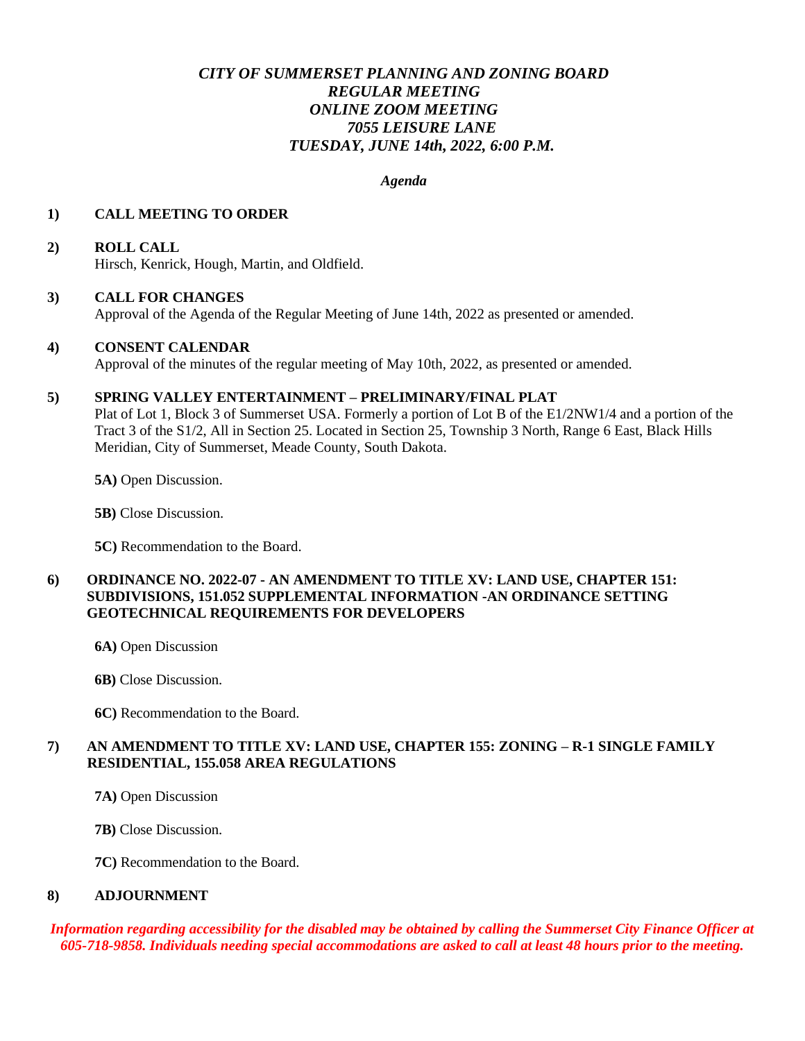# *CITY OF SUMMERSET PLANNING AND ZONING BOARD REGULAR MEETING ONLINE ZOOM MEETING 7055 LEISURE LANE TUESDAY, JUNE 14th, 2022, 6:00 P.M.*

#### *Agenda*

#### **1) CALL MEETING TO ORDER**

#### **2) ROLL CALL**

Hirsch, Kenrick, Hough, Martin, and Oldfield.

#### **3) CALL FOR CHANGES**

Approval of the Agenda of the Regular Meeting of June 14th, 2022 as presented or amended.

#### **4) CONSENT CALENDAR**

Approval of the minutes of the regular meeting of May 10th, 2022, as presented or amended.

#### **5) SPRING VALLEY ENTERTAINMENT – PRELIMINARY/FINAL PLAT**

Plat of Lot 1, Block 3 of Summerset USA. Formerly a portion of Lot B of the E1/2NW1/4 and a portion of the Tract 3 of the S1/2, All in Section 25. Located in Section 25, Township 3 North, Range 6 East, Black Hills Meridian, City of Summerset, Meade County, South Dakota.

**5A)** Open Discussion.

**5B)** Close Discussion.

**5C)** Recommendation to the Board.

## **6) ORDINANCE NO. 2022-07 - AN AMENDMENT TO TITLE XV: LAND USE, CHAPTER 151: SUBDIVISIONS, 151.052 SUPPLEMENTAL INFORMATION -AN ORDINANCE SETTING GEOTECHNICAL REQUIREMENTS FOR DEVELOPERS**

- **6A)** Open Discussion
- **6B)** Close Discussion.
- **6C)** Recommendation to the Board.

# **7) AN AMENDMENT TO TITLE XV: LAND USE, CHAPTER 155: ZONING – R-1 SINGLE FAMILY RESIDENTIAL, 155.058 AREA REGULATIONS**

- **7A)** Open Discussion
- **7B)** Close Discussion.
- **7C)** Recommendation to the Board.

## **8) ADJOURNMENT**

*Information regarding accessibility for the disabled may be obtained by calling the Summerset City Finance Officer at 605-718-9858. Individuals needing special accommodations are asked to call at least 48 hours prior to the meeting.*